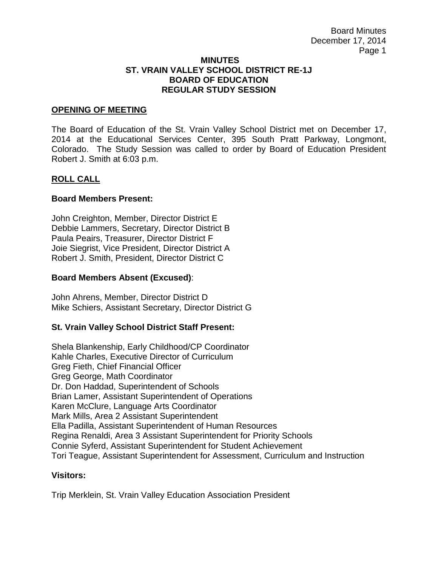#### **MINUTES ST. VRAIN VALLEY SCHOOL DISTRICT RE-1J BOARD OF EDUCATION REGULAR STUDY SESSION**

### **OPENING OF MEETING**

The Board of Education of the St. Vrain Valley School District met on December 17, 2014 at the Educational Services Center, 395 South Pratt Parkway, Longmont, Colorado. The Study Session was called to order by Board of Education President Robert J. Smith at 6:03 p.m.

## **ROLL CALL**

### **Board Members Present:**

John Creighton, Member, Director District E Debbie Lammers, Secretary, Director District B Paula Peairs, Treasurer, Director District F Joie Siegrist, Vice President, Director District A Robert J. Smith, President, Director District C

#### **Board Members Absent (Excused)**:

John Ahrens, Member, Director District D Mike Schiers, Assistant Secretary, Director District G

## **St. Vrain Valley School District Staff Present:**

Shela Blankenship, Early Childhood/CP Coordinator Kahle Charles, Executive Director of Curriculum Greg Fieth, Chief Financial Officer Greg George, Math Coordinator Dr. Don Haddad, Superintendent of Schools Brian Lamer, Assistant Superintendent of Operations Karen McClure, Language Arts Coordinator Mark Mills, Area 2 Assistant Superintendent Ella Padilla, Assistant Superintendent of Human Resources Regina Renaldi, Area 3 Assistant Superintendent for Priority Schools Connie Syferd, Assistant Superintendent for Student Achievement Tori Teague, Assistant Superintendent for Assessment, Curriculum and Instruction

#### **Visitors:**

Trip Merklein, St. Vrain Valley Education Association President